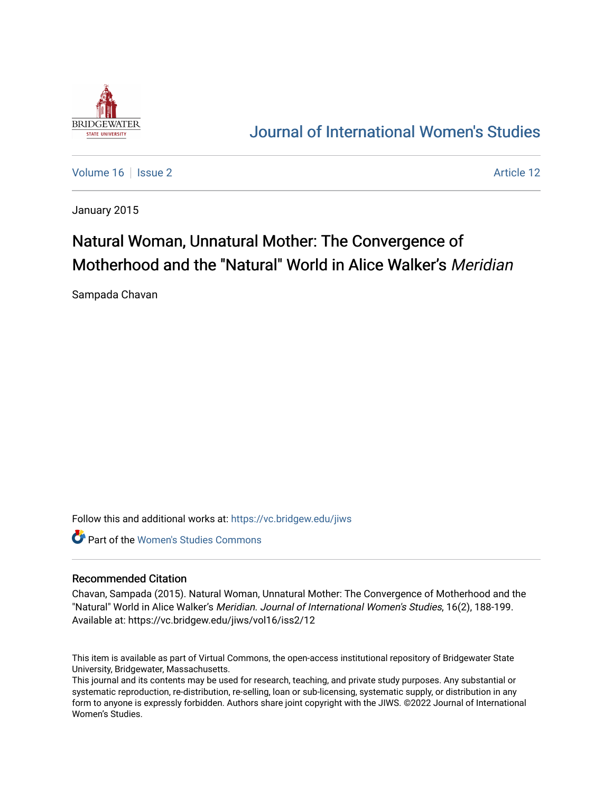

## [Journal of International Women's Studies](https://vc.bridgew.edu/jiws)

[Volume 16](https://vc.bridgew.edu/jiws/vol16) September 2 Article 12

January 2015

# Natural Woman, Unnatural Mother: The Convergence of Motherhood and the "Natural" World in Alice Walker's Meridian

Sampada Chavan

Follow this and additional works at: [https://vc.bridgew.edu/jiws](https://vc.bridgew.edu/jiws?utm_source=vc.bridgew.edu%2Fjiws%2Fvol16%2Fiss2%2F12&utm_medium=PDF&utm_campaign=PDFCoverPages)

**C** Part of the Women's Studies Commons

#### Recommended Citation

Chavan, Sampada (2015). Natural Woman, Unnatural Mother: The Convergence of Motherhood and the "Natural" World in Alice Walker's Meridian. Journal of International Women's Studies, 16(2), 188-199. Available at: https://vc.bridgew.edu/jiws/vol16/iss2/12

This item is available as part of Virtual Commons, the open-access institutional repository of Bridgewater State University, Bridgewater, Massachusetts.

This journal and its contents may be used for research, teaching, and private study purposes. Any substantial or systematic reproduction, re-distribution, re-selling, loan or sub-licensing, systematic supply, or distribution in any form to anyone is expressly forbidden. Authors share joint copyright with the JIWS. ©2022 Journal of International Women's Studies.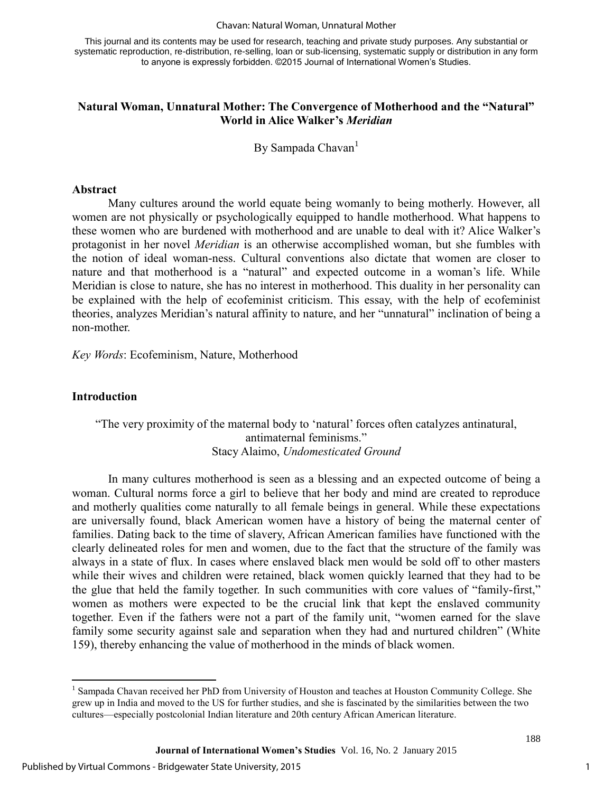#### Chavan: Natural Woman, Unnatural Mother

This journal and its contents may be used for research, teaching and private study purposes. Any substantial or systematic reproduction, re-distribution, re-selling, loan or sub-licensing, systematic supply or distribution in any form to anyone is expressly forbidden. ©2015 Journal of International Women's Studies.

#### **Natural Woman, Unnatural Mother: The Convergence of Motherhood and the "Natural" World in Alice Walker's** *Meridian*

By Sampada Chavan<sup>1</sup>

#### **Abstract**

Many cultures around the world equate being womanly to being motherly. However, all women are not physically or psychologically equipped to handle motherhood. What happens to these women who are burdened with motherhood and are unable to deal with it? Alice Walker's protagonist in her novel *Meridian* is an otherwise accomplished woman, but she fumbles with the notion of ideal woman-ness. Cultural conventions also dictate that women are closer to nature and that motherhood is a "natural" and expected outcome in a woman's life. While Meridian is close to nature, she has no interest in motherhood. This duality in her personality can be explained with the help of ecofeminist criticism. This essay, with the help of ecofeminist theories, analyzes Meridian's natural affinity to nature, and her "unnatural" inclination of being a non-mother.

*Key Words*: Ecofeminism, Nature, Motherhood

#### **Introduction**

### "The very proximity of the maternal body to 'natural' forces often catalyzes antinatural, antimaternal feminisms." Stacy Alaimo, *Undomesticated Ground*

In many cultures motherhood is seen as a blessing and an expected outcome of being a woman. Cultural norms force a girl to believe that her body and mind are created to reproduce and motherly qualities come naturally to all female beings in general. While these expectations are universally found, black American women have a history of being the maternal center of families. Dating back to the time of slavery, African American families have functioned with the clearly delineated roles for men and women, due to the fact that the structure of the family was always in a state of flux. In cases where enslaved black men would be sold off to other masters while their wives and children were retained, black women quickly learned that they had to be the glue that held the family together. In such communities with core values of "family-first," women as mothers were expected to be the crucial link that kept the enslaved community together. Even if the fathers were not a part of the family unit, "women earned for the slave family some security against sale and separation when they had and nurtured children" (White 159), thereby enhancing the value of motherhood in the minds of black women.

<sup>&</sup>lt;sup>1</sup> Sampada Chavan received her PhD from University of Houston and teaches at Houston Community College. She grew up in India and moved to the US for further studies, and she is fascinated by the similarities between the two cultures—especially postcolonial Indian literature and 20th century African American literature.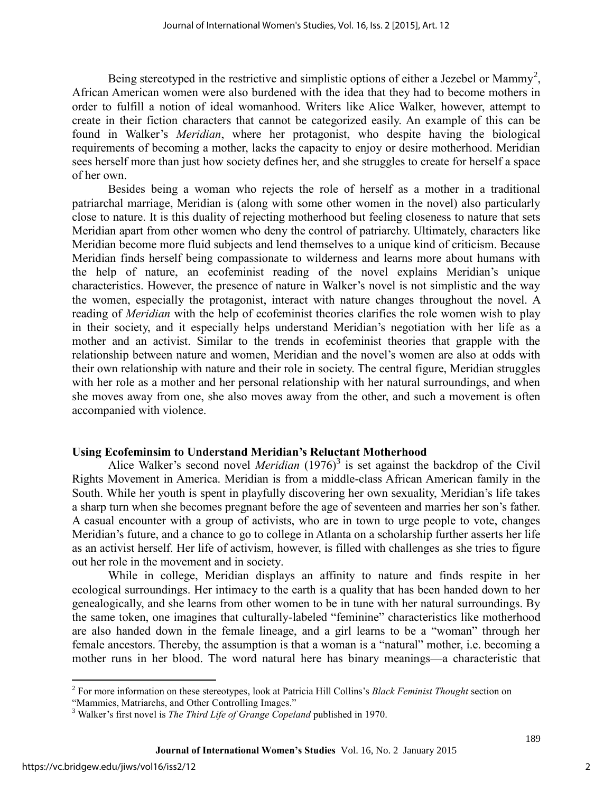Being stereotyped in the restrictive and simplistic options of either a Jezebel or Mammy<sup>2</sup>, African American women were also burdened with the idea that they had to become mothers in order to fulfill a notion of ideal womanhood. Writers like Alice Walker, however, attempt to create in their fiction characters that cannot be categorized easily. An example of this can be found in Walker's *Meridian*, where her protagonist, who despite having the biological requirements of becoming a mother, lacks the capacity to enjoy or desire motherhood. Meridian sees herself more than just how society defines her, and she struggles to create for herself a space of her own.

Besides being a woman who rejects the role of herself as a mother in a traditional patriarchal marriage, Meridian is (along with some other women in the novel) also particularly close to nature. It is this duality of rejecting motherhood but feeling closeness to nature that sets Meridian apart from other women who deny the control of patriarchy. Ultimately, characters like Meridian become more fluid subjects and lend themselves to a unique kind of criticism. Because Meridian finds herself being compassionate to wilderness and learns more about humans with the help of nature, an ecofeminist reading of the novel explains Meridian's unique characteristics. However, the presence of nature in Walker's novel is not simplistic and the way the women, especially the protagonist, interact with nature changes throughout the novel. A reading of *Meridian* with the help of ecofeminist theories clarifies the role women wish to play in their society, and it especially helps understand Meridian's negotiation with her life as a mother and an activist. Similar to the trends in ecofeminist theories that grapple with the relationship between nature and women, Meridian and the novel's women are also at odds with their own relationship with nature and their role in society. The central figure, Meridian struggles with her role as a mother and her personal relationship with her natural surroundings, and when she moves away from one, she also moves away from the other, and such a movement is often accompanied with violence.

#### **Using Ecofeminsim to Understand Meridian's Reluctant Motherhood**

Alice Walker's second novel *Meridian* (1976)<sup>3</sup> is set against the backdrop of the Civil Rights Movement in America. Meridian is from a middle-class African American family in the South. While her youth is spent in playfully discovering her own sexuality, Meridian's life takes a sharp turn when she becomes pregnant before the age of seventeen and marries her son's father. A casual encounter with a group of activists, who are in town to urge people to vote, changes Meridian's future, and a chance to go to college in Atlanta on a scholarship further asserts her life as an activist herself. Her life of activism, however, is filled with challenges as she tries to figure out her role in the movement and in society.

While in college, Meridian displays an affinity to nature and finds respite in her ecological surroundings. Her intimacy to the earth is a quality that has been handed down to her genealogically, and she learns from other women to be in tune with her natural surroundings. By the same token, one imagines that culturally-labeled "feminine" characteristics like motherhood are also handed down in the female lineage, and a girl learns to be a "woman" through her female ancestors. Thereby, the assumption is that a woman is a "natural" mother, i.e. becoming a mother runs in her blood. The word natural here has binary meanings—a characteristic that

 $\overline{\phantom{a}}$ 2 For more information on these stereotypes, look at Patricia Hill Collins's *Black Feminist Thought* section on "Mammies, Matriarchs, and Other Controlling Images."

<sup>3</sup> Walker's first novel is *The Third Life of Grange Copeland* published in 1970.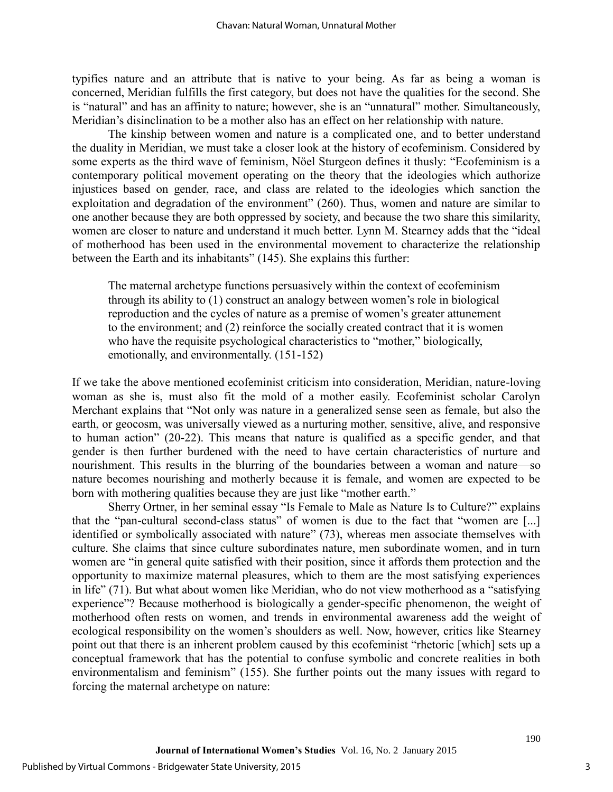typifies nature and an attribute that is native to your being. As far as being a woman is concerned, Meridian fulfills the first category, but does not have the qualities for the second. She is "natural" and has an affinity to nature; however, she is an "unnatural" mother. Simultaneously, Meridian's disinclination to be a mother also has an effect on her relationship with nature.

The kinship between women and nature is a complicated one, and to better understand the duality in Meridian, we must take a closer look at the history of ecofeminism. Considered by some experts as the third wave of feminism, Nöel Sturgeon defines it thusly: "Ecofeminism is a contemporary political movement operating on the theory that the ideologies which authorize injustices based on gender, race, and class are related to the ideologies which sanction the exploitation and degradation of the environment" (260). Thus, women and nature are similar to one another because they are both oppressed by society, and because the two share this similarity, women are closer to nature and understand it much better. Lynn M. Stearney adds that the "ideal of motherhood has been used in the environmental movement to characterize the relationship between the Earth and its inhabitants" (145). She explains this further:

The maternal archetype functions persuasively within the context of ecofeminism through its ability to (1) construct an analogy between women's role in biological reproduction and the cycles of nature as a premise of women's greater attunement to the environment; and (2) reinforce the socially created contract that it is women who have the requisite psychological characteristics to "mother," biologically, emotionally, and environmentally. (151-152)

If we take the above mentioned ecofeminist criticism into consideration, Meridian, nature-loving woman as she is, must also fit the mold of a mother easily. Ecofeminist scholar Carolyn Merchant explains that "Not only was nature in a generalized sense seen as female, but also the earth, or geocosm, was universally viewed as a nurturing mother, sensitive, alive, and responsive to human action" (20-22). This means that nature is qualified as a specific gender, and that gender is then further burdened with the need to have certain characteristics of nurture and nourishment. This results in the blurring of the boundaries between a woman and nature—so nature becomes nourishing and motherly because it is female, and women are expected to be born with mothering qualities because they are just like "mother earth."

Sherry Ortner, in her seminal essay "Is Female to Male as Nature Is to Culture?" explains that the "pan-cultural second-class status" of women is due to the fact that "women are [...] identified or symbolically associated with nature" (73), whereas men associate themselves with culture. She claims that since culture subordinates nature, men subordinate women, and in turn women are "in general quite satisfied with their position, since it affords them protection and the opportunity to maximize maternal pleasures, which to them are the most satisfying experiences in life" (71). But what about women like Meridian, who do not view motherhood as a "satisfying experience"? Because motherhood is biologically a gender-specific phenomenon, the weight of motherhood often rests on women, and trends in environmental awareness add the weight of ecological responsibility on the women's shoulders as well. Now, however, critics like Stearney point out that there is an inherent problem caused by this ecofeminist "rhetoric [which] sets up a conceptual framework that has the potential to confuse symbolic and concrete realities in both environmentalism and feminism" (155). She further points out the many issues with regard to forcing the maternal archetype on nature: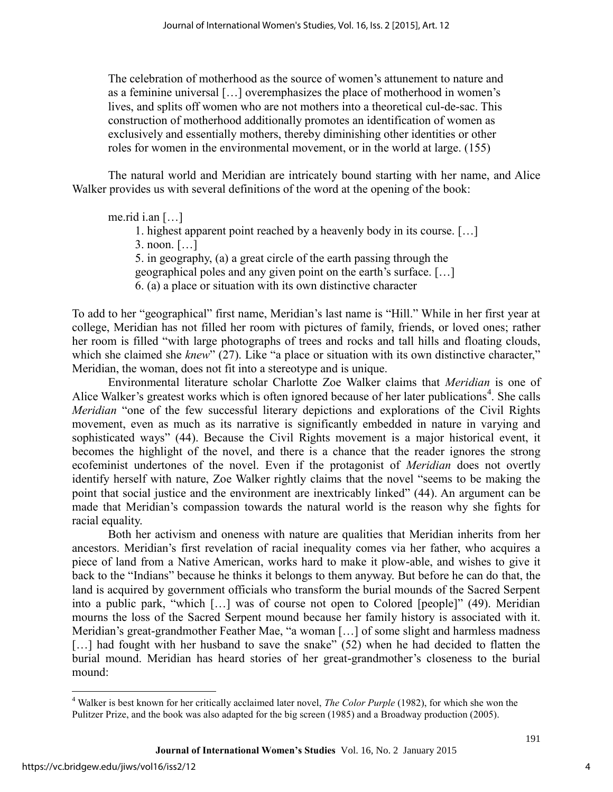The celebration of motherhood as the source of women's attunement to nature and as a feminine universal […] overemphasizes the place of motherhood in women's lives, and splits off women who are not mothers into a theoretical cul-de-sac. This construction of motherhood additionally promotes an identification of women as exclusively and essentially mothers, thereby diminishing other identities or other roles for women in the environmental movement, or in the world at large. (155)

The natural world and Meridian are intricately bound starting with her name, and Alice Walker provides us with several definitions of the word at the opening of the book:

me.rid i.an  $\lceil \ldots \rceil$ 

1. highest apparent point reached by a heavenly body in its course. […] 3. noon. […] 5. in geography, (a) a great circle of the earth passing through the geographical poles and any given point on the earth's surface. […]

6. (a) a place or situation with its own distinctive character

To add to her "geographical" first name, Meridian's last name is "Hill." While in her first year at college, Meridian has not filled her room with pictures of family, friends, or loved ones; rather her room is filled "with large photographs of trees and rocks and tall hills and floating clouds, which she claimed she *knew*" (27). Like "a place or situation with its own distinctive character," Meridian, the woman, does not fit into a stereotype and is unique.

Environmental literature scholar Charlotte Zoe Walker claims that *Meridian* is one of Alice Walker's greatest works which is often ignored because of her later publications<sup>4</sup>. She calls *Meridian* "one of the few successful literary depictions and explorations of the Civil Rights movement, even as much as its narrative is significantly embedded in nature in varying and sophisticated ways" (44). Because the Civil Rights movement is a major historical event, it becomes the highlight of the novel, and there is a chance that the reader ignores the strong ecofeminist undertones of the novel. Even if the protagonist of *Meridian* does not overtly identify herself with nature, Zoe Walker rightly claims that the novel "seems to be making the point that social justice and the environment are inextricably linked" (44). An argument can be made that Meridian's compassion towards the natural world is the reason why she fights for racial equality.

Both her activism and oneness with nature are qualities that Meridian inherits from her ancestors. Meridian's first revelation of racial inequality comes via her father, who acquires a piece of land from a Native American, works hard to make it plow-able, and wishes to give it back to the "Indians" because he thinks it belongs to them anyway. But before he can do that, the land is acquired by government officials who transform the burial mounds of the Sacred Serpent into a public park, "which […] was of course not open to Colored [people]" (49). Meridian mourns the loss of the Sacred Serpent mound because her family history is associated with it. Meridian's great-grandmother Feather Mae, "a woman […] of some slight and harmless madness [...] had fought with her husband to save the snake" (52) when he had decided to flatten the burial mound. Meridian has heard stories of her great-grandmother's closeness to the burial mound:

 $\overline{\phantom{a}}$ 

4

<sup>4</sup> Walker is best known for her critically acclaimed later novel, *The Color Purple* (1982), for which she won the Pulitzer Prize, and the book was also adapted for the big screen (1985) and a Broadway production (2005).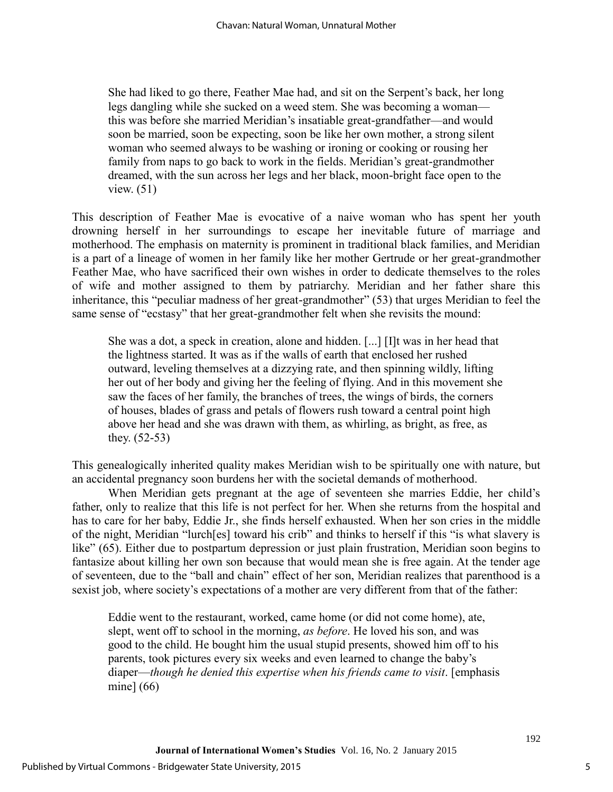She had liked to go there, Feather Mae had, and sit on the Serpent's back, her long legs dangling while she sucked on a weed stem. She was becoming a woman this was before she married Meridian's insatiable great-grandfather—and would soon be married, soon be expecting, soon be like her own mother, a strong silent woman who seemed always to be washing or ironing or cooking or rousing her family from naps to go back to work in the fields. Meridian's great-grandmother dreamed, with the sun across her legs and her black, moon-bright face open to the view. (51)

This description of Feather Mae is evocative of a naive woman who has spent her youth drowning herself in her surroundings to escape her inevitable future of marriage and motherhood. The emphasis on maternity is prominent in traditional black families, and Meridian is a part of a lineage of women in her family like her mother Gertrude or her great-grandmother Feather Mae, who have sacrificed their own wishes in order to dedicate themselves to the roles of wife and mother assigned to them by patriarchy. Meridian and her father share this inheritance, this "peculiar madness of her great-grandmother" (53) that urges Meridian to feel the same sense of "ecstasy" that her great-grandmother felt when she revisits the mound:

She was a dot, a speck in creation, alone and hidden. [...] [I]t was in her head that the lightness started. It was as if the walls of earth that enclosed her rushed outward, leveling themselves at a dizzying rate, and then spinning wildly, lifting her out of her body and giving her the feeling of flying. And in this movement she saw the faces of her family, the branches of trees, the wings of birds, the corners of houses, blades of grass and petals of flowers rush toward a central point high above her head and she was drawn with them, as whirling, as bright, as free, as they. (52-53)

This genealogically inherited quality makes Meridian wish to be spiritually one with nature, but an accidental pregnancy soon burdens her with the societal demands of motherhood.

When Meridian gets pregnant at the age of seventeen she marries Eddie, her child's father, only to realize that this life is not perfect for her. When she returns from the hospital and has to care for her baby, Eddie Jr., she finds herself exhausted. When her son cries in the middle of the night, Meridian "lurch[es] toward his crib" and thinks to herself if this "is what slavery is like" (65). Either due to postpartum depression or just plain frustration, Meridian soon begins to fantasize about killing her own son because that would mean she is free again. At the tender age of seventeen, due to the "ball and chain" effect of her son, Meridian realizes that parenthood is a sexist job, where society's expectations of a mother are very different from that of the father:

Eddie went to the restaurant, worked, came home (or did not come home), ate, slept, went off to school in the morning, *as before*. He loved his son, and was good to the child. He bought him the usual stupid presents, showed him off to his parents, took pictures every six weeks and even learned to change the baby's diaper—*though he denied this expertise when his friends came to visit*. [emphasis mine] (66)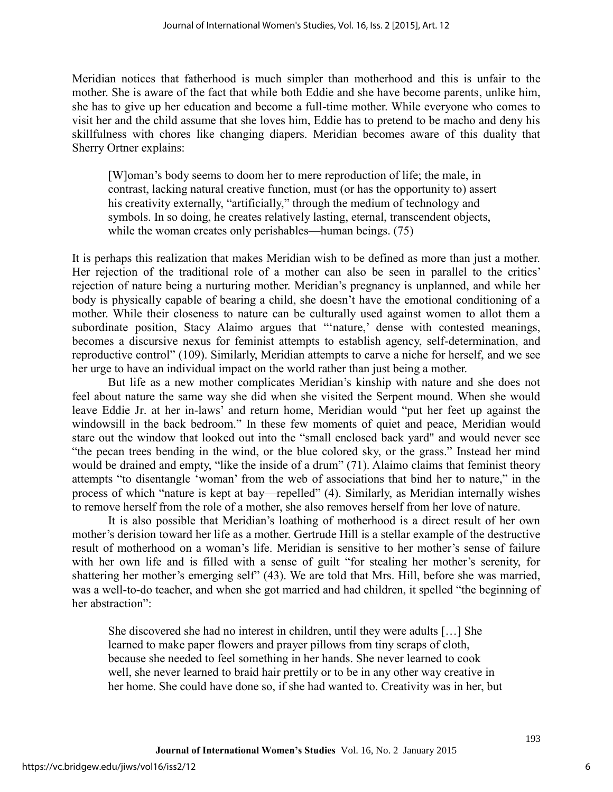Meridian notices that fatherhood is much simpler than motherhood and this is unfair to the mother. She is aware of the fact that while both Eddie and she have become parents, unlike him, she has to give up her education and become a full-time mother. While everyone who comes to visit her and the child assume that she loves him, Eddie has to pretend to be macho and deny his skillfulness with chores like changing diapers. Meridian becomes aware of this duality that Sherry Ortner explains:

[W]oman's body seems to doom her to mere reproduction of life; the male, in contrast, lacking natural creative function, must (or has the opportunity to) assert his creativity externally, "artificially," through the medium of technology and symbols. In so doing, he creates relatively lasting, eternal, transcendent objects, while the woman creates only perishables—human beings. (75)

It is perhaps this realization that makes Meridian wish to be defined as more than just a mother. Her rejection of the traditional role of a mother can also be seen in parallel to the critics' rejection of nature being a nurturing mother. Meridian's pregnancy is unplanned, and while her body is physically capable of bearing a child, she doesn't have the emotional conditioning of a mother. While their closeness to nature can be culturally used against women to allot them a subordinate position, Stacy Alaimo argues that "'nature,' dense with contested meanings, becomes a discursive nexus for feminist attempts to establish agency, self-determination, and reproductive control" (109). Similarly, Meridian attempts to carve a niche for herself, and we see her urge to have an individual impact on the world rather than just being a mother.

But life as a new mother complicates Meridian's kinship with nature and she does not feel about nature the same way she did when she visited the Serpent mound. When she would leave Eddie Jr. at her in-laws' and return home, Meridian would "put her feet up against the windowsill in the back bedroom." In these few moments of quiet and peace, Meridian would stare out the window that looked out into the "small enclosed back yard" and would never see "the pecan trees bending in the wind, or the blue colored sky, or the grass." Instead her mind would be drained and empty, "like the inside of a drum" (71). Alaimo claims that feminist theory attempts "to disentangle 'woman' from the web of associations that bind her to nature," in the process of which "nature is kept at bay—repelled" (4). Similarly, as Meridian internally wishes to remove herself from the role of a mother, she also removes herself from her love of nature.

It is also possible that Meridian's loathing of motherhood is a direct result of her own mother's derision toward her life as a mother. Gertrude Hill is a stellar example of the destructive result of motherhood on a woman's life. Meridian is sensitive to her mother's sense of failure with her own life and is filled with a sense of guilt "for stealing her mother's serenity, for shattering her mother's emerging self" (43). We are told that Mrs. Hill, before she was married, was a well-to-do teacher, and when she got married and had children, it spelled "the beginning of her abstraction":

She discovered she had no interest in children, until they were adults […] She learned to make paper flowers and prayer pillows from tiny scraps of cloth, because she needed to feel something in her hands. She never learned to cook well, she never learned to braid hair prettily or to be in any other way creative in her home. She could have done so, if she had wanted to. Creativity was in her, but

6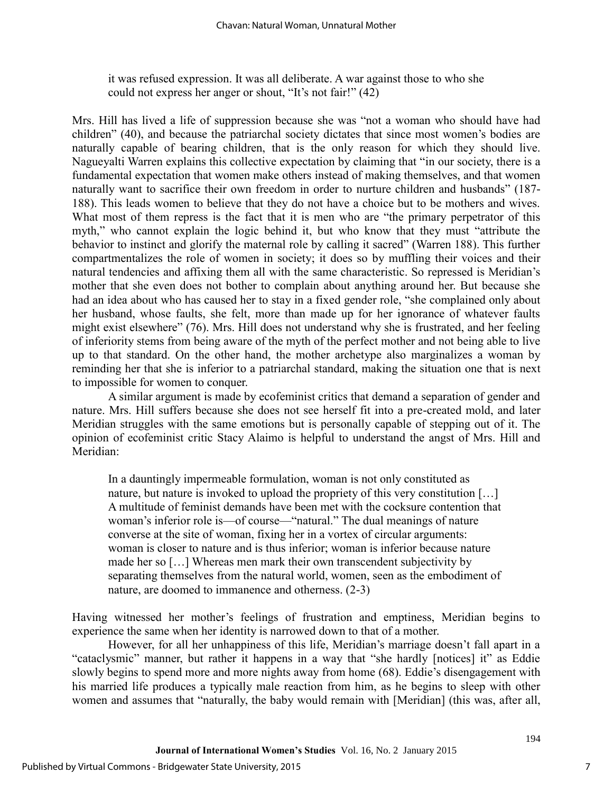it was refused expression. It was all deliberate. A war against those to who she could not express her anger or shout, "It's not fair!" (42)

Mrs. Hill has lived a life of suppression because she was "not a woman who should have had children" (40), and because the patriarchal society dictates that since most women's bodies are naturally capable of bearing children, that is the only reason for which they should live. Nagueyalti Warren explains this collective expectation by claiming that "in our society, there is a fundamental expectation that women make others instead of making themselves, and that women naturally want to sacrifice their own freedom in order to nurture children and husbands" (187- 188). This leads women to believe that they do not have a choice but to be mothers and wives. What most of them repress is the fact that it is men who are "the primary perpetrator of this myth," who cannot explain the logic behind it, but who know that they must "attribute the behavior to instinct and glorify the maternal role by calling it sacred" (Warren 188). This further compartmentalizes the role of women in society; it does so by muffling their voices and their natural tendencies and affixing them all with the same characteristic. So repressed is Meridian's mother that she even does not bother to complain about anything around her. But because she had an idea about who has caused her to stay in a fixed gender role, "she complained only about her husband, whose faults, she felt, more than made up for her ignorance of whatever faults might exist elsewhere" (76). Mrs. Hill does not understand why she is frustrated, and her feeling of inferiority stems from being aware of the myth of the perfect mother and not being able to live up to that standard. On the other hand, the mother archetype also marginalizes a woman by reminding her that she is inferior to a patriarchal standard, making the situation one that is next to impossible for women to conquer.

A similar argument is made by ecofeminist critics that demand a separation of gender and nature. Mrs. Hill suffers because she does not see herself fit into a pre-created mold, and later Meridian struggles with the same emotions but is personally capable of stepping out of it. The opinion of ecofeminist critic Stacy Alaimo is helpful to understand the angst of Mrs. Hill and Meridian:

In a dauntingly impermeable formulation, woman is not only constituted as nature, but nature is invoked to upload the propriety of this very constitution [...] A multitude of feminist demands have been met with the cocksure contention that woman's inferior role is—of course—"natural." The dual meanings of nature converse at the site of woman, fixing her in a vortex of circular arguments: woman is closer to nature and is thus inferior; woman is inferior because nature made her so […] Whereas men mark their own transcendent subjectivity by separating themselves from the natural world, women, seen as the embodiment of nature, are doomed to immanence and otherness. (2-3)

Having witnessed her mother's feelings of frustration and emptiness, Meridian begins to experience the same when her identity is narrowed down to that of a mother.

However, for all her unhappiness of this life, Meridian's marriage doesn't fall apart in a "cataclysmic" manner, but rather it happens in a way that "she hardly [notices] it" as Eddie slowly begins to spend more and more nights away from home (68). Eddie's disengagement with his married life produces a typically male reaction from him, as he begins to sleep with other women and assumes that "naturally, the baby would remain with [Meridian] (this was, after all,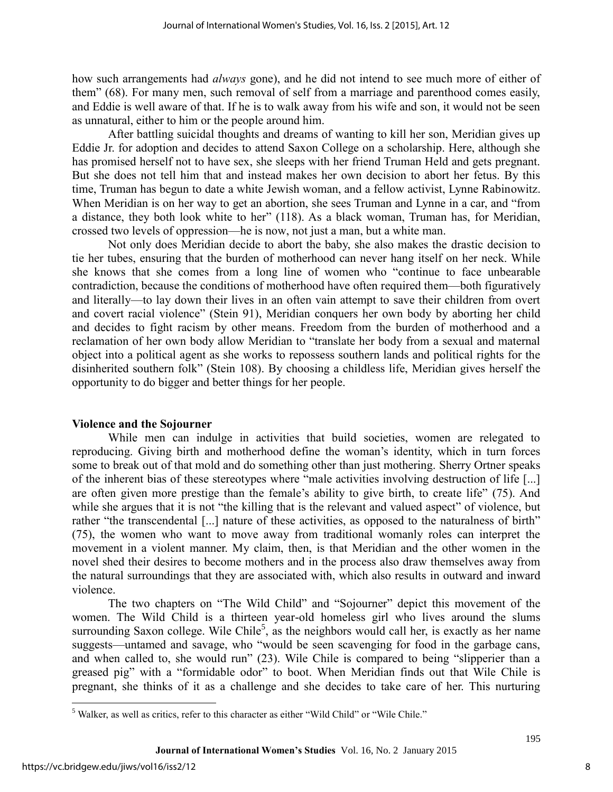how such arrangements had *always* gone), and he did not intend to see much more of either of them" (68). For many men, such removal of self from a marriage and parenthood comes easily, and Eddie is well aware of that. If he is to walk away from his wife and son, it would not be seen as unnatural, either to him or the people around him.

After battling suicidal thoughts and dreams of wanting to kill her son, Meridian gives up Eddie Jr. for adoption and decides to attend Saxon College on a scholarship. Here, although she has promised herself not to have sex, she sleeps with her friend Truman Held and gets pregnant. But she does not tell him that and instead makes her own decision to abort her fetus. By this time, Truman has begun to date a white Jewish woman, and a fellow activist, Lynne Rabinowitz. When Meridian is on her way to get an abortion, she sees Truman and Lynne in a car, and "from a distance, they both look white to her" (118). As a black woman, Truman has, for Meridian, crossed two levels of oppression—he is now, not just a man, but a white man.

Not only does Meridian decide to abort the baby, she also makes the drastic decision to tie her tubes, ensuring that the burden of motherhood can never hang itself on her neck. While she knows that she comes from a long line of women who "continue to face unbearable contradiction, because the conditions of motherhood have often required them—both figuratively and literally—to lay down their lives in an often vain attempt to save their children from overt and covert racial violence" (Stein 91), Meridian conquers her own body by aborting her child and decides to fight racism by other means. Freedom from the burden of motherhood and a reclamation of her own body allow Meridian to "translate her body from a sexual and maternal object into a political agent as she works to repossess southern lands and political rights for the disinherited southern folk" (Stein 108). By choosing a childless life, Meridian gives herself the opportunity to do bigger and better things for her people.

#### **Violence and the Sojourner**

While men can indulge in activities that build societies, women are relegated to reproducing. Giving birth and motherhood define the woman's identity, which in turn forces some to break out of that mold and do something other than just mothering. Sherry Ortner speaks of the inherent bias of these stereotypes where "male activities involving destruction of life [...] are often given more prestige than the female's ability to give birth, to create life" (75). And while she argues that it is not "the killing that is the relevant and valued aspect" of violence, but rather "the transcendental [...] nature of these activities, as opposed to the naturalness of birth" (75), the women who want to move away from traditional womanly roles can interpret the movement in a violent manner. My claim, then, is that Meridian and the other women in the novel shed their desires to become mothers and in the process also draw themselves away from the natural surroundings that they are associated with, which also results in outward and inward violence.

The two chapters on "The Wild Child" and "Sojourner" depict this movement of the women. The Wild Child is a thirteen year-old homeless girl who lives around the slums surrounding Saxon college. Wile Chile<sup>5</sup>, as the neighbors would call her, is exactly as her name suggests—untamed and savage, who "would be seen scavenging for food in the garbage cans, and when called to, she would run" (23). Wile Chile is compared to being "slipperier than a greased pig" with a "formidable odor" to boot. When Meridian finds out that Wile Chile is pregnant, she thinks of it as a challenge and she decides to take care of her. This nurturing

 $\overline{\phantom{a}}$ 

<sup>&</sup>lt;sup>5</sup> Walker, as well as critics, refer to this character as either "Wild Child" or "Wile Chile."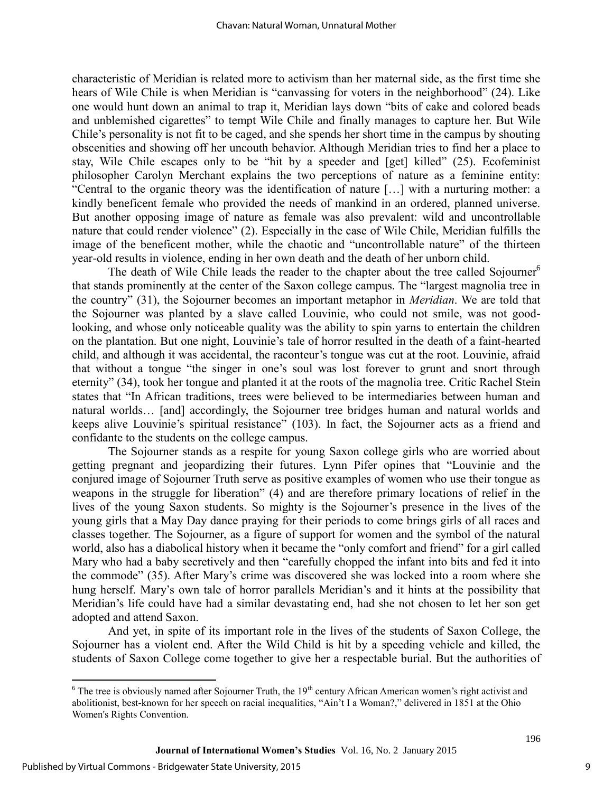characteristic of Meridian is related more to activism than her maternal side, as the first time she hears of Wile Chile is when Meridian is "canvassing for voters in the neighborhood" (24). Like one would hunt down an animal to trap it, Meridian lays down "bits of cake and colored beads and unblemished cigarettes" to tempt Wile Chile and finally manages to capture her. But Wile Chile's personality is not fit to be caged, and she spends her short time in the campus by shouting obscenities and showing off her uncouth behavior. Although Meridian tries to find her a place to stay, Wile Chile escapes only to be "hit by a speeder and [get] killed" (25). Ecofeminist philosopher Carolyn Merchant explains the two perceptions of nature as a feminine entity: "Central to the organic theory was the identification of nature […] with a nurturing mother: a kindly beneficent female who provided the needs of mankind in an ordered, planned universe. But another opposing image of nature as female was also prevalent: wild and uncontrollable nature that could render violence" (2). Especially in the case of Wile Chile, Meridian fulfills the image of the beneficent mother, while the chaotic and "uncontrollable nature" of the thirteen year-old results in violence, ending in her own death and the death of her unborn child.

The death of Wile Chile leads the reader to the chapter about the tree called Sojourner<sup>6</sup> that stands prominently at the center of the Saxon college campus. The "largest magnolia tree in the country" (31), the Sojourner becomes an important metaphor in *Meridian*. We are told that the Sojourner was planted by a slave called Louvinie, who could not smile, was not goodlooking, and whose only noticeable quality was the ability to spin yarns to entertain the children on the plantation. But one night, Louvinie's tale of horror resulted in the death of a faint-hearted child, and although it was accidental, the raconteur's tongue was cut at the root. Louvinie, afraid that without a tongue "the singer in one's soul was lost forever to grunt and snort through eternity" (34), took her tongue and planted it at the roots of the magnolia tree. Critic Rachel Stein states that "In African traditions, trees were believed to be intermediaries between human and natural worlds… [and] accordingly, the Sojourner tree bridges human and natural worlds and keeps alive Louvinie's spiritual resistance" (103). In fact, the Sojourner acts as a friend and confidante to the students on the college campus.

The Sojourner stands as a respite for young Saxon college girls who are worried about getting pregnant and jeopardizing their futures. Lynn Pifer opines that "Louvinie and the conjured image of Sojourner Truth serve as positive examples of women who use their tongue as weapons in the struggle for liberation" (4) and are therefore primary locations of relief in the lives of the young Saxon students. So mighty is the Sojourner's presence in the lives of the young girls that a May Day dance praying for their periods to come brings girls of all races and classes together. The Sojourner, as a figure of support for women and the symbol of the natural world, also has a diabolical history when it became the "only comfort and friend" for a girl called Mary who had a baby secretively and then "carefully chopped the infant into bits and fed it into the commode" (35). After Mary's crime was discovered she was locked into a room where she hung herself. Mary's own tale of horror parallels Meridian's and it hints at the possibility that Meridian's life could have had a similar devastating end, had she not chosen to let her son get adopted and attend Saxon.

And yet, in spite of its important role in the lives of the students of Saxon College, the Sojourner has a violent end. After the Wild Child is hit by a speeding vehicle and killed, the students of Saxon College come together to give her a respectable burial. But the authorities of

 $\frac{6}{6}$  The tree is obviously named after Sojourner Truth, the 19<sup>th</sup> century African American women's right activist and abolitionist, best-known for her speech on racial inequalities, "Ain't I a Woman?," delivered in 1851 at the Ohio Women's Rights Convention.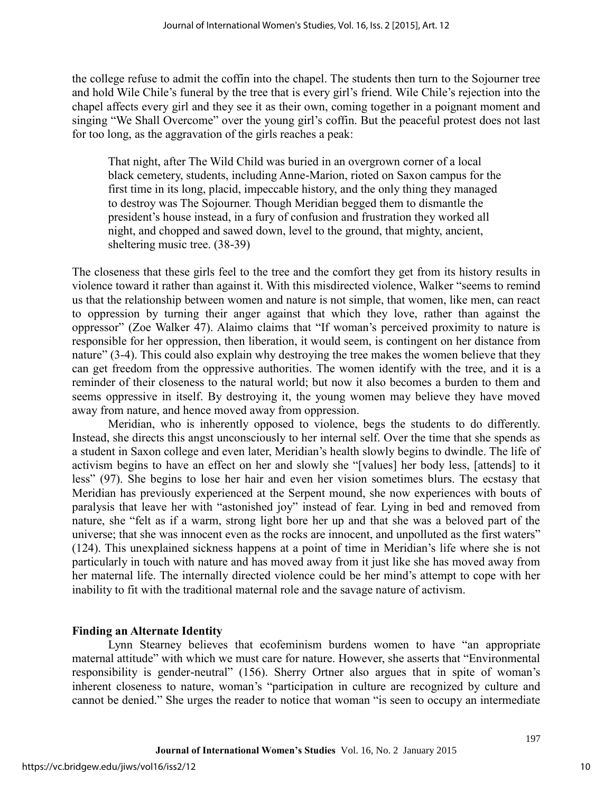the college refuse to admit the coffin into the chapel. The students then turn to the Sojourner tree and hold Wile Chile's funeral by the tree that is every girl's friend. Wile Chile's rejection into the chapel affects every girl and they see it as their own, coming together in a poignant moment and singing "We Shall Overcome" over the young girl's coffin. But the peaceful protest does not last for too long, as the aggravation of the girls reaches a peak:

That night, after The Wild Child was buried in an overgrown corner of a local black cemetery, students, including Anne-Marion, rioted on Saxon campus for the first time in its long, placid, impeccable history, and the only thing they managed to destroy was The Sojourner. Though Meridian begged them to dismantle the president's house instead, in a fury of confusion and frustration they worked all night, and chopped and sawed down, level to the ground, that mighty, ancient, sheltering music tree. (38-39)

The closeness that these girls feel to the tree and the comfort they get from its history results in violence toward it rather than against it. With this misdirected violence, Walker "seems to remind us that the relationship between women and nature is not simple, that women, like men, can react to oppression by turning their anger against that which they love, rather than against the oppressor" (Zoe Walker 47). Alaimo claims that "If woman's perceived proximity to nature is responsible for her oppression, then liberation, it would seem, is contingent on her distance from nature" (3-4). This could also explain why destroying the tree makes the women believe that they can get freedom from the oppressive authorities. The women identify with the tree, and it is a reminder of their closeness to the natural world; but now it also becomes a burden to them and seems oppressive in itself. By destroying it, the young women may believe they have moved away from nature, and hence moved away from oppression.

Meridian, who is inherently opposed to violence, begs the students to do differently. Instead, she directs this angst unconsciously to her internal self. Over the time that she spends as a student in Saxon college and even later, Meridian's health slowly begins to dwindle. The life of activism begins to have an effect on her and slowly she "[values] her body less, [attends] to it less" (97). She begins to lose her hair and even her vision sometimes blurs. The ecstasy that Meridian has previously experienced at the Serpent mound, she now experiences with bouts of paralysis that leave her with "astonished joy" instead of fear. Lying in bed and removed from nature, she "felt as if a warm, strong light bore her up and that she was a beloved part of the universe; that she was innocent even as the rocks are innocent, and unpolluted as the first waters" (124). This unexplained sickness happens at a point of time in Meridian's life where she is not particularly in touch with nature and has moved away from it just like she has moved away from her maternal life. The internally directed violence could be her mind's attempt to cope with her inability to fit with the traditional maternal role and the savage nature of activism.

#### **Finding an Alternate Identity**

Lynn Stearney believes that ecofeminism burdens women to have "an appropriate maternal attitude" with which we must care for nature. However, she asserts that "Environmental responsibility is gender-neutral" (156). Sherry Ortner also argues that in spite of woman's inherent closeness to nature, woman's "participation in culture are recognized by culture and cannot be denied." She urges the reader to notice that woman "is seen to occupy an intermediate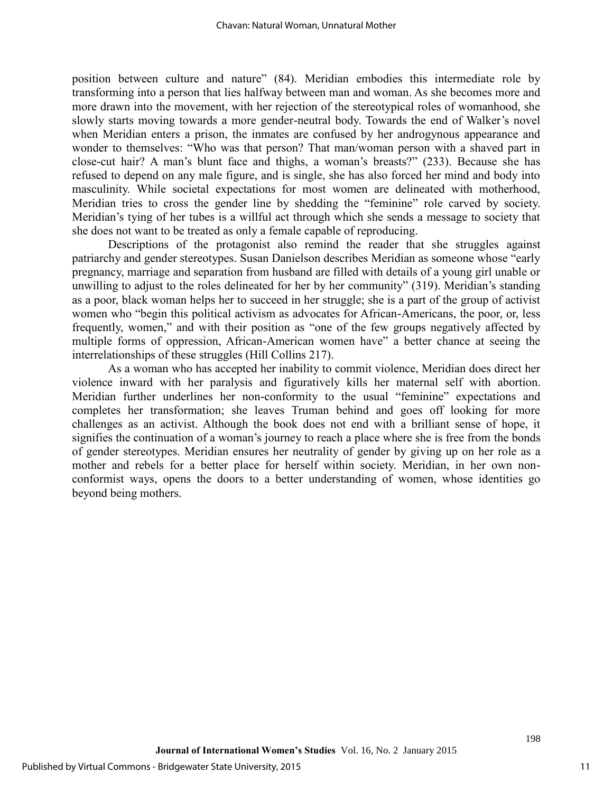position between culture and nature" (84). Meridian embodies this intermediate role by transforming into a person that lies halfway between man and woman. As she becomes more and more drawn into the movement, with her rejection of the stereotypical roles of womanhood, she slowly starts moving towards a more gender-neutral body. Towards the end of Walker's novel when Meridian enters a prison, the inmates are confused by her androgynous appearance and wonder to themselves: "Who was that person? That man/woman person with a shaved part in close-cut hair? A man's blunt face and thighs, a woman's breasts?" (233). Because she has refused to depend on any male figure, and is single, she has also forced her mind and body into masculinity. While societal expectations for most women are delineated with motherhood, Meridian tries to cross the gender line by shedding the "feminine" role carved by society. Meridian's tying of her tubes is a willful act through which she sends a message to society that she does not want to be treated as only a female capable of reproducing.

Descriptions of the protagonist also remind the reader that she struggles against patriarchy and gender stereotypes. Susan Danielson describes Meridian as someone whose "early pregnancy, marriage and separation from husband are filled with details of a young girl unable or unwilling to adjust to the roles delineated for her by her community" (319). Meridian's standing as a poor, black woman helps her to succeed in her struggle; she is a part of the group of activist women who "begin this political activism as advocates for African-Americans, the poor, or, less frequently, women," and with their position as "one of the few groups negatively affected by multiple forms of oppression, African-American women have" a better chance at seeing the interrelationships of these struggles (Hill Collins 217).

As a woman who has accepted her inability to commit violence, Meridian does direct her violence inward with her paralysis and figuratively kills her maternal self with abortion. Meridian further underlines her non-conformity to the usual "feminine" expectations and completes her transformation; she leaves Truman behind and goes off looking for more challenges as an activist. Although the book does not end with a brilliant sense of hope, it signifies the continuation of a woman's journey to reach a place where she is free from the bonds of gender stereotypes. Meridian ensures her neutrality of gender by giving up on her role as a mother and rebels for a better place for herself within society. Meridian, in her own nonconformist ways, opens the doors to a better understanding of women, whose identities go beyond being mothers.